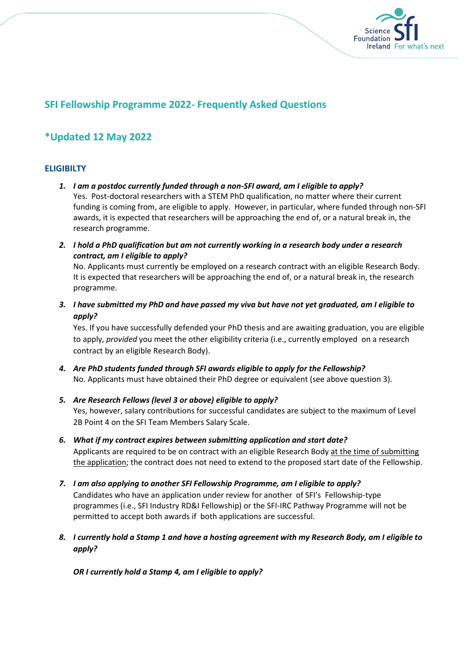

## **SFI Fellowship Programme 2022- Frequently Asked Questions**

# **\*Updated 12 May 2022**

## **ELIGIBILTY**

- *1. I am a postdoc currently funded through a non-SFI award, am I eligible to apply?* Yes. Post-doctoral researchers with a STEM PhD qualification, no matter where their current funding is coming from, are eligible to apply. However, in particular, where funded through non-SFI awards, it is expected that researchers will be approaching the end of, or a natural break in, the research programme.
- *2. I hold a PhD qualification but am not currently working in a research body under a research contract, am I eligible to apply?*

No. Applicants must currently be employed on a research contract with an eligible Research Body. It is expected that researchers will be approaching the end of, or a natural break in, the research programme.

*3. I have submitted my PhD and have passed my viva but have not yet graduated, am I eligible to apply?*

Yes. If you have successfully defended your PhD thesis and are awaiting graduation, you are eligible to apply, *provided* you meet the other eligibility criteria (i.e., currently employed on a research contract by an eligible Research Body).

- *4. Are PhD students funded through SFI awards eligible to apply for the Fellowship?* No. Applicants must have obtained their PhD degree or equivalent (see above question 3).
- *5. Are Research Fellows (level 3 or above) eligible to apply?* Yes, however, salary contributions for successful candidates are subject to the maximum of Level 2B Point 4 on the SFI Team Members Salary Scale.
- *6. What if my contract expires between submitting application and start date?* Applicants are required to be on contract with an eligible Research Body at the time of submitting the application; the contract does not need to extend to the proposed start date of the Fellowship.
- *7. I am also applying to another SFI Fellowship Programme, am I eligible to apply?* Candidates who have an application under review for another of SFI's Fellowship-type programmes (i.e., SFI Industry RD&I Fellowship) or the SFI-IRC Pathway Programme will not be permitted to accept both awards if both applications are successful.
- *8. I currently hold a Stamp 1 and have a hosting agreement with my Research Body, am I eligible to apply?*

*OR I currently hold a Stamp 4, am I eligible to apply?*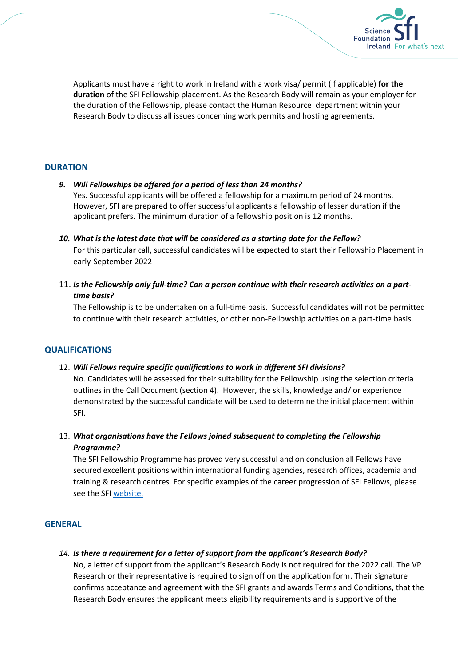

Applicants must have a right to work in Ireland with a work visa/ permit (if applicable) **for the duration** of the SFI Fellowship placement. As the Research Body will remain as your employer for the duration of the Fellowship, please contact the Human Resource department within your Research Body to discuss all issues concerning work permits and hosting agreements.

#### **DURATION**

#### *9. Will Fellowships be offered for a period of less than 24 months?*

Yes. Successful applicants will be offered a fellowship for a maximum period of 24 months. However, SFI are prepared to offer successful applicants a fellowship of lesser duration if the applicant prefers. The minimum duration of a fellowship position is 12 months.

- *10. What is the latest date that will be considered as a starting date for the Fellow?*  For this particular call, successful candidates will be expected to start their Fellowship Placement in early-September 2022
- 11. *Is the Fellowship only full-time? Can a person continue with their research activities on a parttime basis?*

The Fellowship is to be undertaken on a full-time basis. Successful candidates will not be permitted to continue with their research activities, or other non-Fellowship activities on a part-time basis.

#### **QUALIFICATIONS**

#### 12. *Will Fellows require specific qualifications to work in different SFI divisions?*

No. Candidates will be assessed for their suitability for the Fellowship using the selection criteria outlines in the Call Document (section 4). However, the skills, knowledge and/ or experience demonstrated by the successful candidate will be used to determine the initial placement within SFI.

13. *What organisations have the Fellows joined subsequent to completing the Fellowship Programme?* 

The SFI Fellowship Programme has proved very successful and on conclusion all Fellows have secured excellent positions within international funding agencies, research offices, academia and training & research centres. For specific examples of the career progression of SFI Fellows, please see the SFI [website.](https://www.sfi.ie/funding/funding-calls/sfi-fellowship-programme/)

### **GENERAL**

#### *14. Is there a requirement for a letter of support from the applicant's Research Body?*

No, a letter of support from the applicant's Research Body is not required for the 2022 call. The VP Research or their representative is required to sign off on the application form. Their signature confirms acceptance and agreement with the SFI grants and awards Terms and Conditions, that the Research Body ensures the applicant meets eligibility requirements and is supportive of the